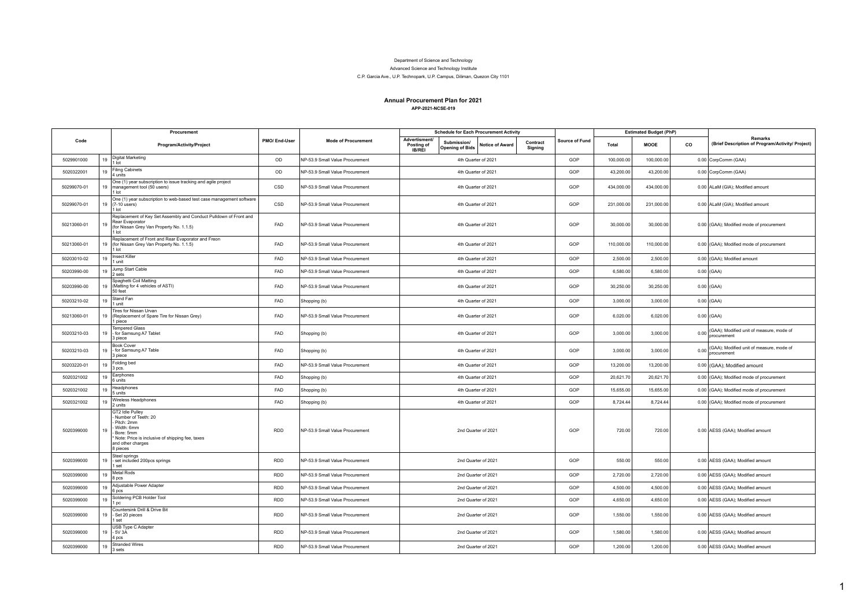## Department of Science and Technology

Advanced Science and Technology Institute

## C.P. Garcia Ave., U.P. Technopark, U.P. Campus, Diliman, Quezon City 1101

## **Annual Procurement Plan for 2021 APP-2021-NCSE-019**

|             |    | Procurement                                                                                                                                                             |              |                                 | <b>Schedule for Each Procurement Activity</b> |                                       |                 |                     |                | <b>Estimated Budget (PhP)</b> |                                                             |                                                              |                                                             |
|-------------|----|-------------------------------------------------------------------------------------------------------------------------------------------------------------------------|--------------|---------------------------------|-----------------------------------------------|---------------------------------------|-----------------|---------------------|----------------|-------------------------------|-------------------------------------------------------------|--------------------------------------------------------------|-------------------------------------------------------------|
| Code        |    | Program/Activity/Project                                                                                                                                                | PMO/End-User | <b>Mode of Procurement</b>      | Advertisment/<br>Posting of<br>IB/REI         | Submission/<br><b>Opening of Bids</b> | Notice of Award | Contract<br>Signing | Source of Fund | Total                         | <b>MOOE</b>                                                 | co                                                           | Remarks<br>(Brief Description of Program/Activity/ Project) |
| 5029901000  | 19 | <b>Digital Marketing</b><br>1 lot                                                                                                                                       | OD           | NP-53.9 Small Value Procurement |                                               | 4th Quarter of 2021                   |                 |                     | GOP            | 100,000.00                    | 100,000.00                                                  |                                                              | 0.00 CorpComm (GAA)                                         |
| 5020322001  | 19 | <b>Filing Cabinets</b><br>4 units                                                                                                                                       | OD           | NP-53.9 Small Value Procurement | 4th Quarter of 2021                           |                                       |                 | GOP                 | 43,200.00      | 43,200.00                     |                                                             | 0.00 CorpComm (GAA)                                          |                                                             |
| 50299070-01 |    | One (1) year subscription to issue tracking and agile project<br>19 management tool (50 users)<br>1 lot                                                                 | CSD          | NP-53.9 Small Value Procurement | 4th Quarter of 2021                           |                                       |                 | GOP                 | 434,000.00     | 434.000.00                    |                                                             | 0.00 ALaM (GIA); Modified amount                             |                                                             |
| 50299070-01 |    | One (1) year subscription to web-based test case management software<br>19 (7-10 users)<br>1 lot                                                                        | CSD          | NP-53.9 Small Value Procurement | 4th Quarter of 2021                           |                                       |                 | GOP                 | 231,000.00     | 231,000.00                    |                                                             | 0.00 ALaM (GIA); Modified amount                             |                                                             |
| 50213060-01 | 19 | Replacement of Key Set Assembly and Conduct Pulldown of Front and<br>Rear Evaporator<br>(for Nissan Grey Van Property No. 1.1.5)<br>1 lot                               | FAD          | NP-53.9 Small Value Procurement | 4th Quarter of 2021                           |                                       |                 | GOP                 | 30,000.00      | 30,000.00                     |                                                             | 0.00 (GAA); Modified mode of procurement                     |                                                             |
| 50213060-01 | 19 | Replacement of Front and Rear Evaporator and Freon<br>(for Nissan Grey Van Property No. 1.1.5)<br>1 lot                                                                 | FAD          | NP-53.9 Small Value Procurement | 4th Quarter of 2021                           |                                       |                 | GOP                 | 110,000.00     | 110.000.00                    |                                                             | 0.00 (GAA); Modified mode of procurement                     |                                                             |
| 50203010-02 | 19 | <b>Insect Killer</b><br>1 unit                                                                                                                                          | FAD          | NP-53.9 Small Value Procurement |                                               | 4th Quarter of 2021                   |                 |                     | GOP            | 2,500.00                      | 2,500.00                                                    |                                                              | 0.00 (GAA); Modified amount                                 |
| 50203990-00 | 19 | Jump Start Cable<br>2 sets                                                                                                                                              | FAD          | NP-53.9 Small Value Procurement |                                               | 4th Quarter of 2021                   |                 | GOP                 | 6,580.00       | 6.580.00                      |                                                             | $0.00$ (GAA)                                                 |                                                             |
| 50203990-00 | 19 | Spaghetti Coil Matting<br>(Matting for 4 vehicles of ASTI)<br>50 feet                                                                                                   | FAD          | NP-53.9 Small Value Procurement |                                               | 4th Quarter of 2021                   |                 | GOP                 | 30,250.00      | 30,250.00                     |                                                             | $0.00$ (GAA)                                                 |                                                             |
| 50203210-02 | 19 | Stand Fan<br>1 unit                                                                                                                                                     | FAD          | Shopping (b)                    | 4th Quarter of 2021                           |                                       | GOP             | 3,000.00            | 3,000.00       |                               | $0.00$ (GAA)                                                |                                                              |                                                             |
| 50213060-01 | 19 | Tires for Nissan Urvan<br>(Replacement of Spare Tire for Nissan Grey)<br>1 piece                                                                                        | FAD          | NP-53.9 Small Value Procurement | 4th Quarter of 2021                           |                                       |                 | GOP                 | 6,020.00       | 6,020.00                      |                                                             | $0.00$ (GAA)                                                 |                                                             |
| 50203210-03 | 19 | <b>Tempered Glass</b><br>- for Samsung A7 Tablet<br>3 piece                                                                                                             | FAD          | Shopping (b)                    | 4th Quarter of 2021                           |                                       |                 | GOP                 | 3,000.00       | 3.000.00                      |                                                             | 0.00 (GAA); Modified unit of measure, mode of<br>procurement |                                                             |
| 50203210-03 | 19 | <b>Book Cover</b><br>- for Samsung A7 Table<br>3 piece                                                                                                                  | FAD          | Shopping (b)                    | 4th Quarter of 2021                           |                                       | GOP             | 3,000.00            | 3,000.00       |                               | 0.00 GAA); Modified unit of measure, mode of<br>procurement |                                                              |                                                             |
| 50203220-01 | 19 | Folding bed<br>3 pcs.                                                                                                                                                   | FAD          | NP-53.9 Small Value Procurement |                                               | 4th Quarter of 2021                   |                 | GOP                 | 13,200.00      | 13,200.00                     |                                                             | 0.00 (GAA); Modified amount                                  |                                                             |
| 5020321002  | 19 | Earphones<br>6 units                                                                                                                                                    | FAD          | Shopping (b)                    |                                               | 4th Quarter of 2021                   |                 | GOP                 | 20,621.70      | 20,621.70                     |                                                             | 0.00 (GAA); Modified mode of procurement                     |                                                             |
| 5020321002  | 19 | Headphones<br>5 units                                                                                                                                                   | FAD          | Shopping (b)                    | 4th Quarter of 2021                           |                                       | GOP             | 15,655.00           | 15,655.00      |                               | 0.00 (GAA); Modified mode of procurement                    |                                                              |                                                             |
| 5020321002  | 19 | Wireless Headphones<br>2 units                                                                                                                                          | FAD          | Shopping (b)                    |                                               | 4th Quarter of 2021                   |                 | GOP                 | 8,724.44       | 8,724.44                      |                                                             | 0.00 (GAA); Modified mode of procurement                     |                                                             |
| 5020399000  | 19 | GT2 Idle Pulley<br>- Number of Teeth: 20<br>Pitch: 2mm<br>Width: 6mm<br>Bore: 5mm<br>* Note: Price is inclusive of shipping fee, taxes<br>and other charges<br>8 pieces | <b>RDD</b>   | NP-53.9 Small Value Procurement |                                               | 2nd Quarter of 2021                   |                 |                     | GOP            | 720.00                        | 720.00                                                      |                                                              | 0.00 AESS (GAA); Modified amount                            |
| 5020399000  | 19 | Steel springs<br>- set included 200pcs springs<br>1 set                                                                                                                 | <b>RDD</b>   | NP-53.9 Small Value Procurement | 2nd Quarter of 2021                           |                                       | GOP             | 550.00              | 550.00         |                               | 0.00 AESS (GAA); Modified amount                            |                                                              |                                                             |
| 5020399000  | 19 | Metal Rods<br>8 pcs                                                                                                                                                     | <b>RDD</b>   | NP-53.9 Small Value Procurement | 2nd Quarter of 2021                           |                                       | GOP             | 2,720.00            | 2,720.00       |                               | 0.00 AESS (GAA); Modified amount                            |                                                              |                                                             |
| 5020399000  | 19 | Adjustable Power Adapter<br>6 pcs                                                                                                                                       | <b>RDD</b>   | NP-53.9 Small Value Procurement | 2nd Quarter of 2021                           |                                       | GOP             | 4,500.00            | 4,500.00       |                               | 0.00 AESS (GAA); Modified amount                            |                                                              |                                                             |
| 5020399000  | 19 | Soldering PCB Holder Tool<br>1pc                                                                                                                                        | <b>RDD</b>   | NP-53.9 Small Value Procurement | 2nd Quarter of 2021                           |                                       | GOP             | 4,650.00            | 4,650.00       |                               | 0.00 AESS (GAA); Modified amount                            |                                                              |                                                             |
| 5020399000  | 19 | Countersink Drill & Drive Bit<br>- Set 20 pieces<br>1 set                                                                                                               | <b>RDD</b>   | NP-53.9 Small Value Procurement | 2nd Quarter of 2021                           |                                       | GOP             | 1,550.00            | 1,550.00       |                               | 0.00 AESS (GAA); Modified amount                            |                                                              |                                                             |
| 5020399000  | 19 | USB Type C Adapter<br>$-5V3A$<br>4 pcs                                                                                                                                  | <b>RDD</b>   | NP-53.9 Small Value Procurement | 2nd Quarter of 2021                           |                                       | GOP             | 1,580.00            | 1,580.00       |                               | 0.00 AESS (GAA); Modified amount                            |                                                              |                                                             |
| 5020399000  | 19 | <b>Stranded Wires</b><br>3 sets                                                                                                                                         | <b>RDD</b>   | NP-53.9 Small Value Procurement |                                               | 2nd Quarter of 2021                   |                 |                     | GOP            | 1,200.00                      | 1,200.00                                                    |                                                              | 0.00 AESS (GAA); Modified amount                            |